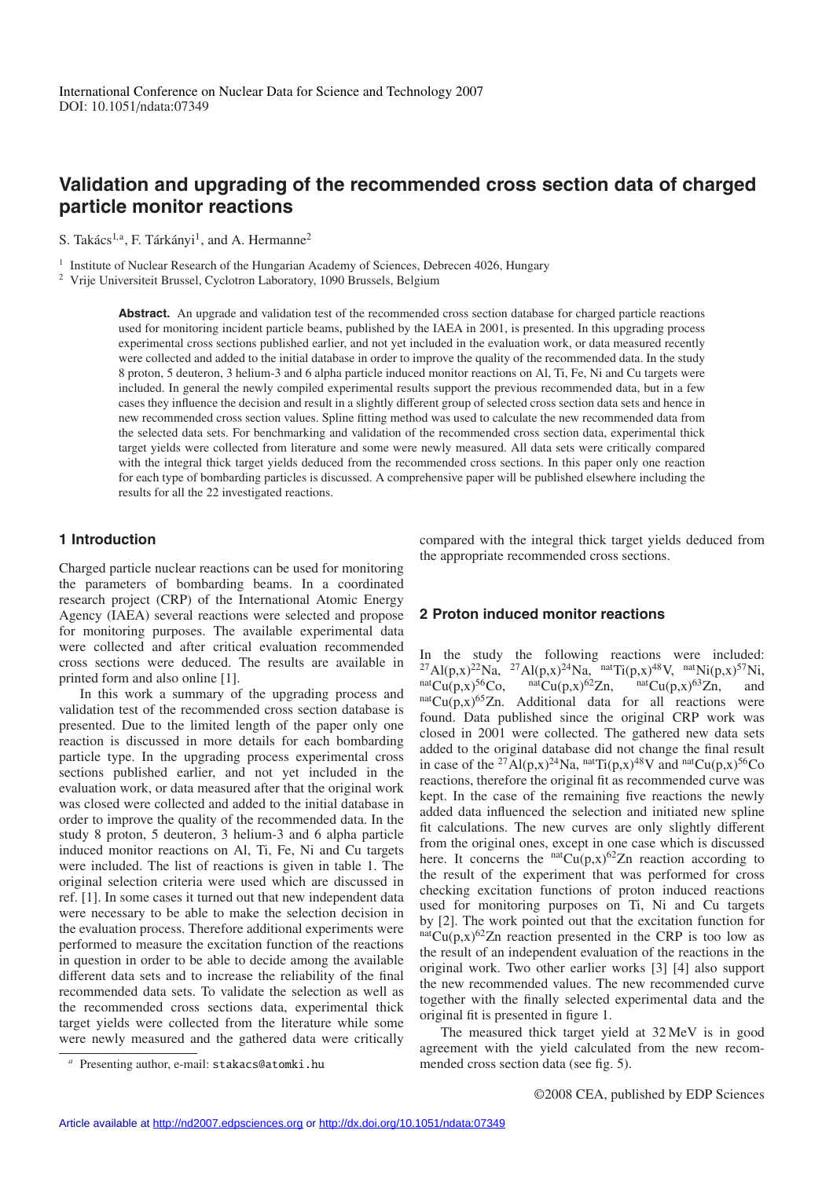# **Validation and upgrading of the recommended cross section data of charged particle monitor reactions**

S. Takács<sup>1,a</sup>, F. Tárkányi<sup>1</sup>, and A. Hermanne<sup>2</sup>

<sup>1</sup> Institute of Nuclear Research of the Hungarian Academy of Sciences, Debrecen 4026, Hungary

<sup>2</sup> Vrije Universiteit Brussel, Cyclotron Laboratory, 1090 Brussels, Belgium

**Abstract.** An upgrade and validation test of the recommended cross section database for charged particle reactions used for monitoring incident particle beams, published by the IAEA in 2001, is presented. In this upgrading process experimental cross sections published earlier, and not yet included in the evaluation work, or data measured recently were collected and added to the initial database in order to improve the quality of the recommended data. In the study 8 proton, 5 deuteron, 3 helium-3 and 6 alpha particle induced monitor reactions on Al, Ti, Fe, Ni and Cu targets were included. In general the newly compiled experimental results support the previous recommended data, but in a few cases they influence the decision and result in a slightly different group of selected cross section data sets and hence in new recommended cross section values. Spline fitting method was used to calculate the new recommended data from the selected data sets. For benchmarking and validation of the recommended cross section data, experimental thick target yields were collected from literature and some were newly measured. All data sets were critically compared with the integral thick target yields deduced from the recommended cross sections. In this paper only one reaction for each type of bombarding particles is discussed. A comprehensive paper will be published elsewhere including the results for all the 22 investigated reactions.

## **1 Introduction**

Charged particle nuclear reactions can be used for monitoring the parameters of bombarding beams. In a coordinated research project (CRP) of the International Atomic Energy Agency (IAEA) several reactions were selected and propose for monitoring purposes. The available experimental data were collected and after critical evaluation recommended cross sections were deduced. The results are available in printed form and also online [1].

In this work a summary of the upgrading process and validation test of the recommended cross section database is presented. Due to the limited length of the paper only one reaction is discussed in more details for each bombarding particle type. In the upgrading process experimental cross sections published earlier, and not yet included in the evaluation work, or data measured after that the original work was closed were collected and added to the initial database in order to improve the quality of the recommended data. In the study 8 proton, 5 deuteron, 3 helium-3 and 6 alpha particle induced monitor reactions on Al, Ti, Fe, Ni and Cu targets were included. The list of reactions is given in table 1. The original selection criteria were used which are discussed in ref. [1]. In some cases it turned out that new independent data were necessary to be able to make the selection decision in the evaluation process. Therefore additional experiments were performed to measure the excitation function of the reactions in question in order to be able to decide among the available different data sets and to increase the reliability of the final recommended data sets. To validate the selection as well as the recommended cross sections data, experimental thick target yields were collected from the literature while some were newly measured and the gathered data were critically compared with the integral thick target yields deduced from the appropriate recommended cross sections.

#### **2 Proton induced monitor reactions**

In the study the following reactions were included: <sup>27</sup>Al(p,x)<sup>22</sup>Na, <sup>27</sup>Al(p,x)<sup>24</sup>Na, <sup>nat</sup>Ti(p,x)<sup>48</sup>V, <sup>nat</sup>Ni(p,x)<sup>57</sup>Ni, natCu(p,x)<sup>56</sup>Co, <sup>nat</sup>Cu(p,x)<sup>62</sup>Zn, <sup>nat</sup>Cu(p,x)<sup>63</sup>Zn, and <sup>nat</sup>Cu(p,x)<sup>65</sup>Zn. Additional data for all reactions were found. Data published since the original CRP work was closed in 2001 were collected. The gathered new data sets added to the original database did not change the final result in case of the <sup>27</sup>Al(p,x)<sup>24</sup>Na, <sup>nat</sup>Ti(p,x)<sup>48</sup>V and <sup>nat</sup>Cu(p,x)<sup>56</sup>Co reactions, therefore the original fit as recommended curve was kept. In the case of the remaining five reactions the newly added data influenced the selection and initiated new spline fit calculations. The new curves are only slightly different from the original ones, except in one case which is discussed here. It concerns the  $natCu(p,x)^{62}Zn$  reaction according to the result of the experiment that was performed for cross checking excitation functions of proton induced reactions used for monitoring purposes on Ti, Ni and Cu targets by [2]. The work pointed out that the excitation function for  $n^{\text{nat}}$ Cu(p,x)<sup>62</sup>Zn reaction presented in the CRP is too low as the result of an independent evaluation of the reactions in the original work. Two other earlier works [3] [4] also support the new recommended values. The new recommended curve together with the finally selected experimental data and the original fit is presented in figure 1.

The measured thick target yield at 32 MeV is in good agreement with the yield calculated from the new recommended cross section data (see fig. 5).

Presenting author, e-mail: stakacs@atomki.hu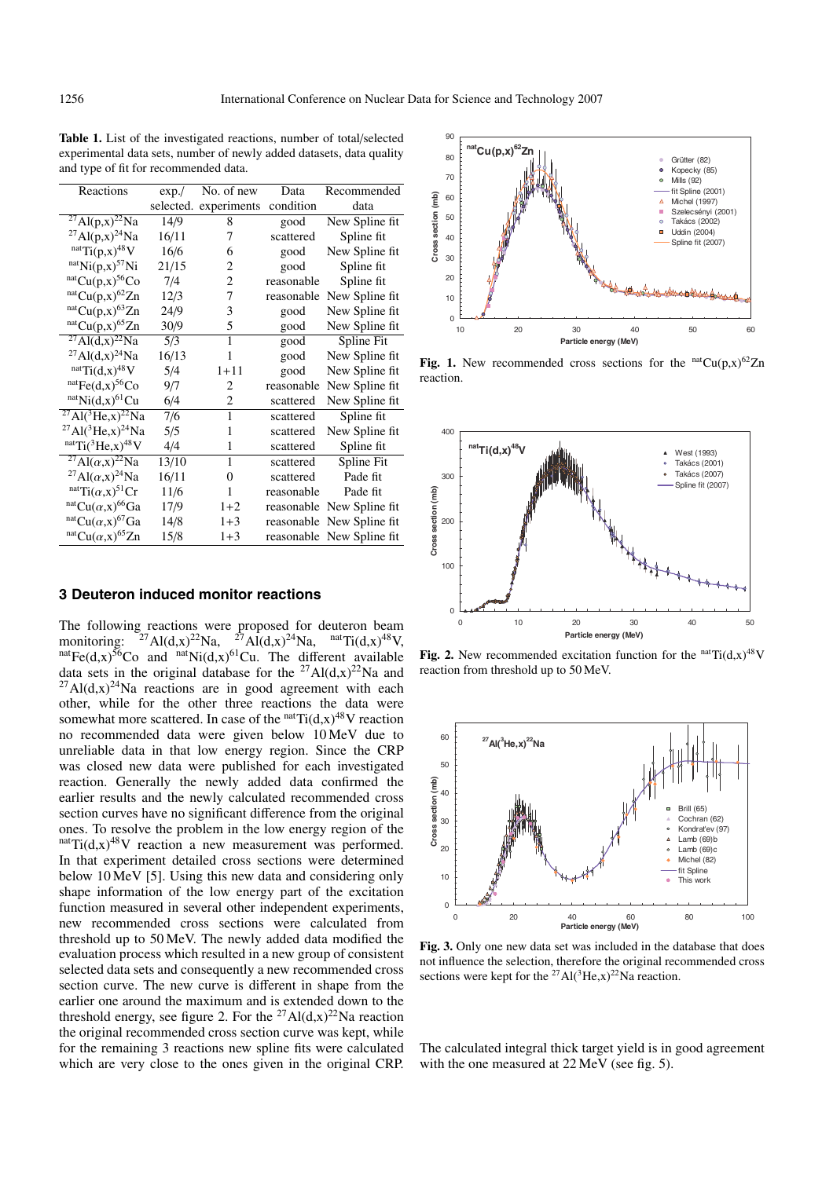**Table 1.** List of the investigated reactions, number of total/selected experimental data sets, number of newly added datasets, data quality and type of fit for recommended data.

| Reactions                                           | exp./ | No. of new            | Data       | Recommended               |
|-----------------------------------------------------|-------|-----------------------|------------|---------------------------|
|                                                     |       | selected. experiments | condition  | data                      |
| $^{27}$ Al(p,x) <sup>22</sup> Na                    | 14/9  | 8                     | good       | New Spline fit            |
| $^{27}$ Al(p,x) <sup>24</sup> Na                    | 16/11 | 7                     | scattered  | Spline fit                |
| $natTi(p,x)48V$                                     | 16/6  | 6                     | good       | New Spline fit            |
| $natNi(p,x)57Ni$                                    | 21/15 | 2                     | good       | Spline fit                |
| $natCu(p,x)56Co$                                    | 7/4   | 2                     | reasonable | Spline fit                |
| $^{nat}Cu(p,x)^{62}Zn$                              | 12/3  | 7                     | reasonable | New Spline fit            |
| $^{nat}Cu(p,x)^{63}Zn$                              | 24/9  | 3                     | good       | New Spline fit            |
| $natCu(p,x)65Zn$                                    | 30/9  | 5                     | good       | New Spline fit            |
| $^{27}$ Al(d,x) <sup>22</sup> Na                    | 5/3   | 1                     | good       | Spline Fit                |
| $^{27}$ Al(d,x) <sup>24</sup> Na                    | 16/13 | 1                     | good       | New Spline fit            |
| natTi(d.x) <sup>48</sup> V                          | 5/4   | $1 + 11$              | good       | New Spline fit            |
| $^{nat}Fe(d,x)^{56}Co$                              | 9/7   | 2                     | reasonable | New Spline fit            |
| $natNi(d,x)61Cu$                                    | 6/4   | 2                     | scattered  | New Spline fit            |
| $^{27}$ Al( <sup>3</sup> He,x) <sup>22</sup> Na     | 7/6   | 1                     | scattered  | Spline fit                |
| $^{27}$ Al( <sup>3</sup> He,x) <sup>24</sup> Na     | 5/5   | 1                     | scattered  | New Spline fit            |
| $natTi(^{3}He, x)^{48}V$                            | 4/4   | 1                     | scattered  | Spline fit                |
| <sup>27</sup> Al( $\alpha$ ,x) <sup>22</sup> Na     | 13/10 | 1                     | scattered  | Spline Fit                |
| <sup>27</sup> Al( $\alpha$ ,x) <sup>24</sup> Na     | 16/11 | $\Omega$              | scattered  | Pade fit                  |
| <sup>nat</sup> Ti $(\alpha, x)^{51}$ Cr             | 11/6  | 1                     | reasonable | Pade fit                  |
| $\arctan C\mathfrak{u}(\alpha, x)$ <sup>66</sup> Ga | 17/9  | $1+2$                 |            | reasonable New Spline fit |
| $\arctan^{\alpha}$ Cu $(\alpha, x)^{67}$ Ga         | 14/8  | $1 + 3$               |            | reasonable New Spline fit |
| $^{nat}Cu(\alpha, x)^{65}Zn$                        | 15/8  | $1 + 3$               |            | reasonable New Spline fit |

## **3 Deuteron induced monitor reactions**

The following reactions were proposed for deuteron beam monitoring:  ${}^{27}\text{Al}(d,x){}^{22}\text{Na}$ ,  ${}^{27}\text{Al}(d,x){}^{24}\text{Na}$ ,  ${}^{nat}\text{Ti}(d,x){}^{48}\text{V}$ , monitoring: <sup>27</sup>Al(d,x)<sup>22</sup>Na, <sup>27</sup>Al(d,x)<sup>24</sup>Na, <sup>nat</sup>Ti(d,x)<sup>48</sup>V, <sup>nat</sup>Fe(d,x)<sup>56</sup>Co and <sup>nat</sup>Ni(d,x)<sup>61</sup>Cu. The different available data sets in the original database for the <sup>27</sup>Al(d,x)<sup>22</sup>Na and  $^{27}$ Al(d,x)<sup>24</sup>Na reactions are in good agreement with each other, while for the other three reactions the data were somewhat more scattered. In case of the  $n \text{at} \text{Ti}(d,x)^{48}V$  reaction no recommended data were given below 10 MeV due to unreliable data in that low energy region. Since the CRP was closed new data were published for each investigated reaction. Generally the newly added data confirmed the earlier results and the newly calculated recommended cross section curves have no significant difference from the original ones. To resolve the problem in the low energy region of the  $n^{\text{nat}}$ Ti(d,x)<sup>48</sup>V reaction a new measurement was performed. In that experiment detailed cross sections were determined below 10 MeV [5]. Using this new data and considering only shape information of the low energy part of the excitation function measured in several other independent experiments, new recommended cross sections were calculated from threshold up to 50 MeV. The newly added data modified the evaluation process which resulted in a new group of consistent selected data sets and consequently a new recommended cross section curve. The new curve is different in shape from the earlier one around the maximum and is extended down to the threshold energy, see figure 2. For the <sup>27</sup>Al(d,x)<sup>22</sup>Na reaction the original recommended cross section curve was kept, while for the remaining 3 reactions new spline fits were calculated which are very close to the ones given in the original CRP.



Fig. 1. New recommended cross sections for the  $natCu(p,x)^{62}Zn$ reaction.



**Fig. 2.** New recommended excitation function for the  $natTi(d,x)$ <sup>48</sup>V reaction from threshold up to 50 MeV.



**Fig. 3.** Only one new data set was included in the database that does not influence the selection, therefore the original recommended cross sections were kept for the <sup>27</sup>Al(<sup>3</sup>He,x)<sup>22</sup>Na reaction.

The calculated integral thick target yield is in good agreement with the one measured at 22 MeV (see fig. 5).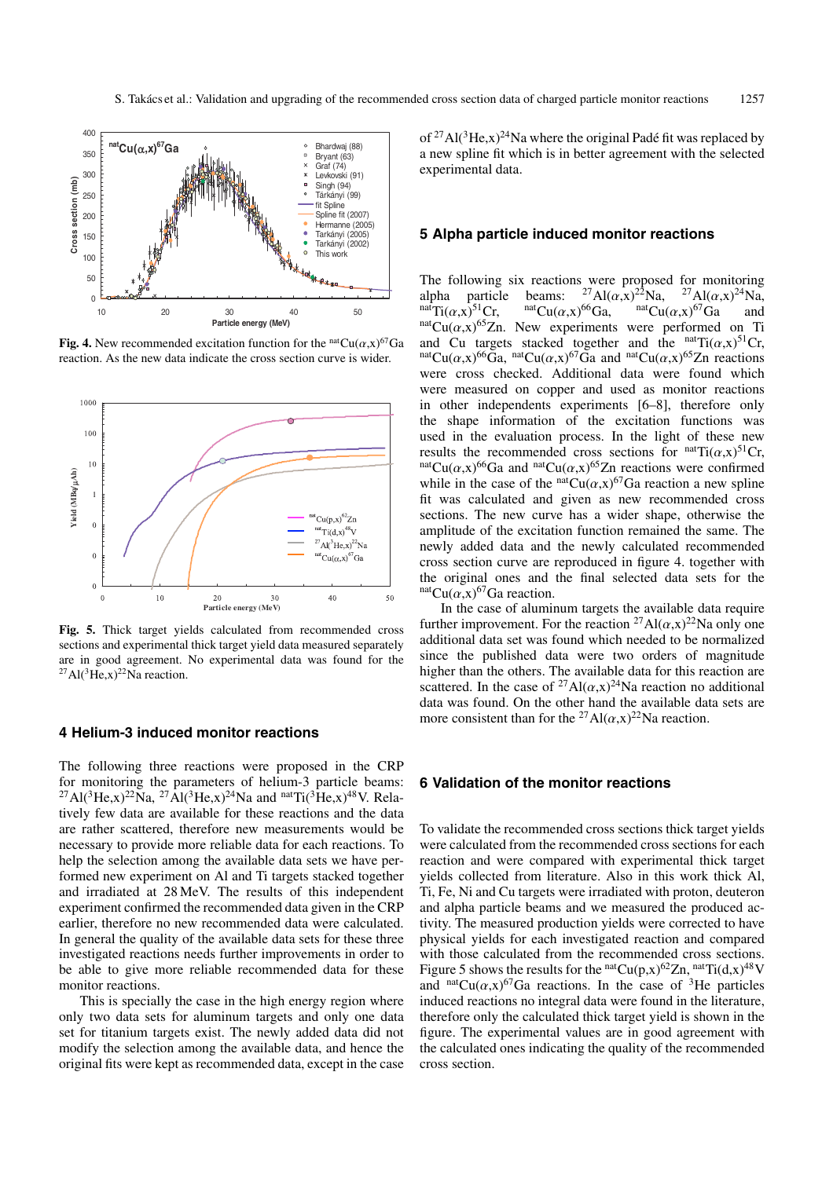

**Fig. 4.** New recommended excitation function for the  $<sup>nat</sup>Cu(\alpha, x)^{67}Ga$ </sup> reaction. As the new data indicate the cross section curve is wider.



**Fig. 5.** Thick target yields calculated from recommended cross sections and experimental thick target yield data measured separately are in good agreement. No experimental data was found for the  $^{27}$ Al(<sup>3</sup>He,x)<sup>22</sup>Na reaction.

## **4 Helium-3 induced monitor reactions**

The following three reactions were proposed in the CRP for monitoring the parameters of helium-3 particle beams:  $^{27}$ Al(<sup>3</sup>He,x)<sup>22</sup>Na,  $^{27}$ Al(<sup>3</sup>He,x)<sup>24</sup>Na and <sup>nat</sup>Ti(<sup>3</sup>He,x)<sup>48</sup>V. Relatively few data are available for these reactions and the data are rather scattered, therefore new measurements would be necessary to provide more reliable data for each reactions. To help the selection among the available data sets we have performed new experiment on Al and Ti targets stacked together and irradiated at 28 MeV. The results of this independent experiment confirmed the recommended data given in the CRP earlier, therefore no new recommended data were calculated. In general the quality of the available data sets for these three investigated reactions needs further improvements in order to be able to give more reliable recommended data for these monitor reactions.

This is specially the case in the high energy region where only two data sets for aluminum targets and only one data set for titanium targets exist. The newly added data did not modify the selection among the available data, and hence the original fits were kept as recommended data, except in the case of <sup>27</sup>Al(<sup>3</sup>He,x)<sup>24</sup>Na where the original Padé fit was replaced by a new spline fit which is in better agreement with the selected experimental data.

#### **5 Alpha particle induced monitor reactions**

The following six reactions were proposed for monitoring<br>alpha particle beams:  $^{27}Al(\alpha,x)^{22}Na$ ,  $^{27}Al(\alpha,x)^{24}Na$ , alpha particle beams:  ${}^{27}Al(\alpha,x)^{22}Na$ ,  ${}^{27}Al(\alpha,x)^{24}Na$ , natTi $(\alpha,x)^{51}Cr$ , natCu $(\alpha,x)^{66}Ga$ , natCu $(\alpha,x)^{67}Ga$  and natCu $(\alpha,x)^{65}Zn$ . New experiments were performed on Ti and Cu targets stacked together and the natTi $(\alpha, x)^{51}$ Cr, natCu $(\alpha, x)^{66}$ Ga, natCu( $(\alpha, x)^{67}$ Ga and natCu( $\alpha, x)^{65}$ Zn reactions were cross checked. Additional data were found which were measured on copper and used as monitor reactions in other independents experiments [6–8], therefore only the shape information of the excitation functions was used in the evaluation process. In the light of these new results the recommended cross sections for  $\arctan(\text{Tr}(\alpha, x))^5$ <sup>1</sup>Cr,  $\arctan(\text{Tr}(\alpha, x))^6$ <sup>6</sup>Ga and  $\arctan(\text{Tr}(\alpha, x))^6$ Zn reactions were confirmed while in the case of the  $<sup>nat</sup>Cu(\alpha, x)<sup>67</sup>Ga$  reaction a new spline</sup> fit was calculated and given as new recommended cross sections. The new curve has a wider shape, otherwise the amplitude of the excitation function remained the same. The newly added data and the newly calculated recommended cross section curve are reproduced in figure 4. together with the original ones and the final selected data sets for the  $n^{\text{nat}}Cu(\alpha, x)^{67}$ Ga reaction.

In the case of aluminum targets the available data require further improvement. For the reaction <sup>27</sup>Al( $\alpha$ ,x)<sup>22</sup>Na only one additional data set was found which needed to be normalized since the published data were two orders of magnitude higher than the others. The available data for this reaction are scattered. In the case of <sup>27</sup>Al( $\alpha$ ,x)<sup>24</sup>Na reaction no additional data was found. On the other hand the available data sets are more consistent than for the <sup>27</sup>Al( $\alpha$ ,x)<sup>22</sup>Na reaction.

#### **6 Validation of the monitor reactions**

To validate the recommended cross sections thick target yields were calculated from the recommended cross sections for each reaction and were compared with experimental thick target yields collected from literature. Also in this work thick Al, Ti, Fe, Ni and Cu targets were irradiated with proton, deuteron and alpha particle beams and we measured the produced activity. The measured production yields were corrected to have physical yields for each investigated reaction and compared with those calculated from the recommended cross sections. Figure 5 shows the results for the  $<sup>nat</sup>Cu(p,x)<sup>62</sup>Zn$ ,  $<sup>nat</sup>Ti(d,x)<sup>48</sup>V$ </sup></sup> and nat $Cu(\alpha, x)^{67}Ga$  reactions. In the case of <sup>3</sup>He particles induced reactions no integral data were found in the literature, therefore only the calculated thick target yield is shown in the figure. The experimental values are in good agreement with the calculated ones indicating the quality of the recommended cross section.